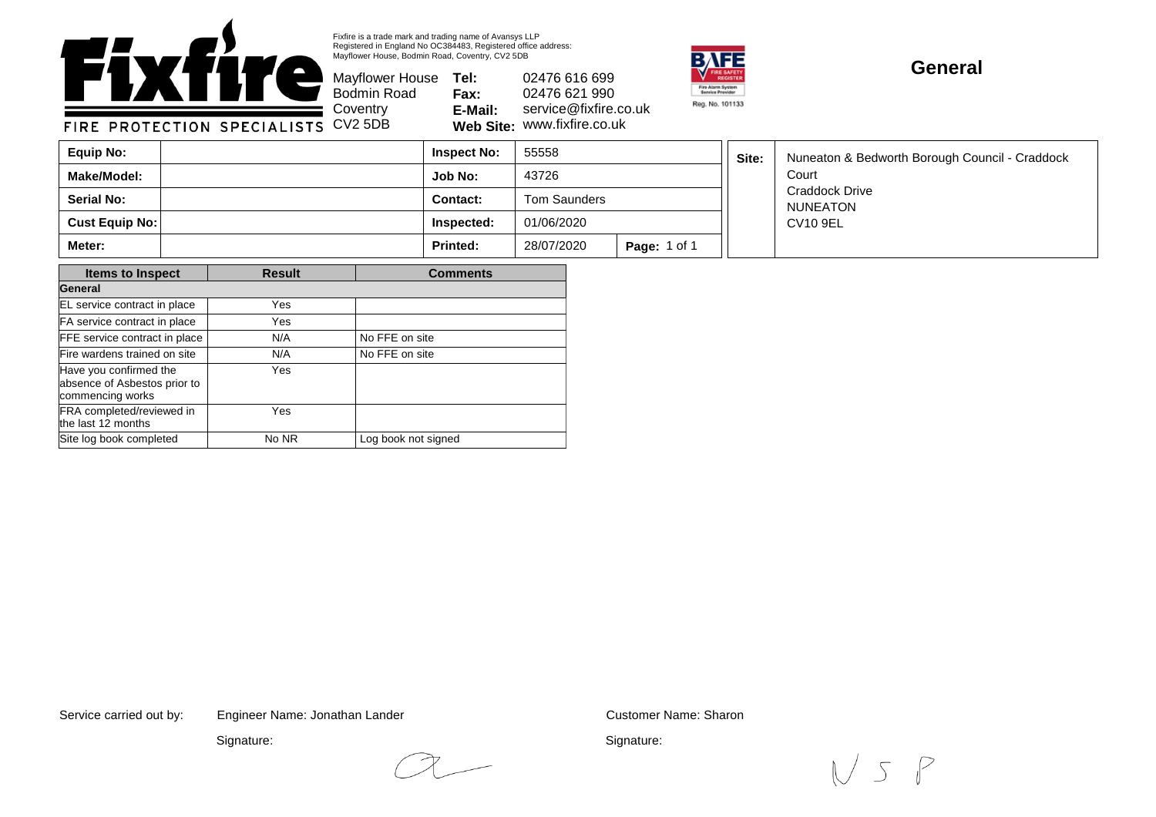

Fixfire is a trade mark and trading name of Avansys LLP Registered in England No OC384483, Registered office address: Mayflower House, Bodmin Road, Coventry, CV2 5DB

Mayflower House **Tel: Fax: E-Mail: Web Site:** 02476 616 699 02476 621 990 service@fixfire.co.uk fixfire.co.uk.



## **General**

FIRE PROTECTION SPECIALIST

| ■ Coventry | E-Mail:        | servio |
|------------|----------------|--------|
| s CV25DB   | Web Site: WWW. |        |

Bodmin Road

| Equip No:             | <b>Inspect No:</b> | 55558        |                     | Site: | Nuneaton & Bedworth Borough Council - Craddock |
|-----------------------|--------------------|--------------|---------------------|-------|------------------------------------------------|
| <b>Make/Model:</b>    | Job No:            | 43726        |                     |       | Court                                          |
| <b>Serial No:</b>     | <b>Contact:</b>    | Tom Saunders |                     |       | <b>Craddock Drive</b><br>NUNEATON              |
| <b>Cust Equip No:</b> | Inspected:         | 01/06/2020   |                     |       | CV10 9EL                                       |
| <b>Meter:</b>         | <b>Printed:</b>    | 28/07/2020   | <b>Page: 1 of 1</b> |       |                                                |

| <b>Items to Inspect</b>                                                    | <b>Result</b> | <b>Comments</b>     |  |  |
|----------------------------------------------------------------------------|---------------|---------------------|--|--|
| General                                                                    |               |                     |  |  |
| EL service contract in place                                               | Yes           |                     |  |  |
| FA service contract in place                                               | Yes           |                     |  |  |
| FFE service contract in place                                              | N/A           | No FFE on site      |  |  |
| Fire wardens trained on site                                               | N/A           | No FFE on site      |  |  |
| Have you confirmed the<br>absence of Asbestos prior to<br>commencing works | Yes           |                     |  |  |
| FRA completed/reviewed in<br>the last 12 months                            | Yes           |                     |  |  |
| Site log book completed                                                    | No NR         | Log book not signed |  |  |

Service carried out by: Customer Name: Sharon Engineer Name: Jonathan Lander

Signature:

Signature:

 $N5P$